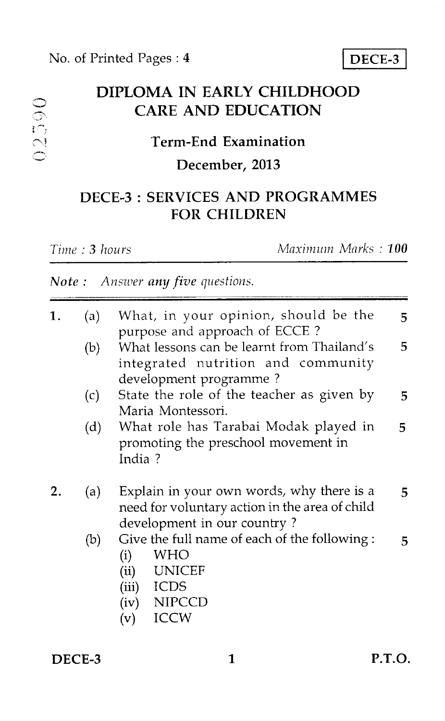# DIPLOMA IN EARLY CHILDHOOD CARE AND EDUCATION

#### Term-End Examination

#### December, 2013

## DECE-3 : SERVICES AND PROGRAMMES FOR CHILDREN

| Time : <b>3</b> hours |
|-----------------------|
|                       |

02590

*Time : 3 hours Maximum Marks : 100* 

### *Note : Answer any five questions.*

| 1. | (a) | What, in your opinion, should be the<br>purpose and approach of ECCE?                                                                  | 5  |
|----|-----|----------------------------------------------------------------------------------------------------------------------------------------|----|
|    | (b) | What lessons can be learnt from Thailand's<br>integrated nutrition and community<br>development programme?                             | 5  |
|    | (c) | State the role of the teacher as given by<br>Maria Montessori.                                                                         | 5  |
|    | (d) | What role has Tarabai Modak played in<br>promoting the preschool movement in<br>India?                                                 | 5. |
|    | (a) | Explain in your own words, why there is a<br>need for voluntary action in the area of child<br>development in our country?             | 5  |
|    | (b) | Give the full name of each of the following:<br><b>WHO</b><br>(i)<br>UNICEF<br>(ii)<br>(iii) ICDS<br>(iv) NIPCCD<br><b>ICCW</b><br>(v) | 5  |

DECE-3 1 P.T.O.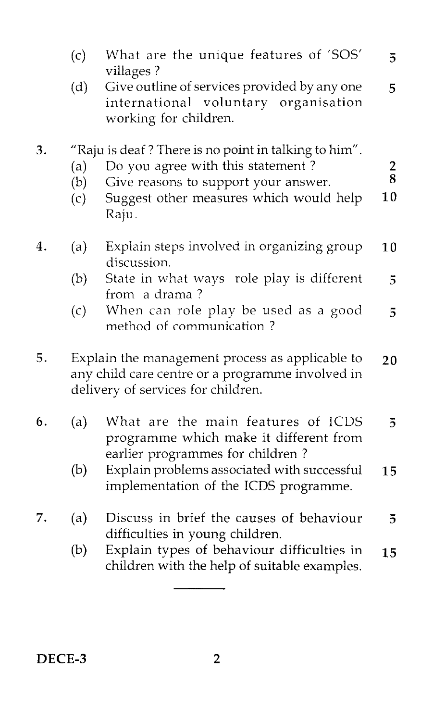|    | (c)                                                                                                                                       | What are the unique features of 'SOS'<br>villages?                                                               | 5             |  |  |
|----|-------------------------------------------------------------------------------------------------------------------------------------------|------------------------------------------------------------------------------------------------------------------|---------------|--|--|
|    | (d)                                                                                                                                       | Give outline of services provided by any one<br>international voluntary organisation<br>working for children.    | 5             |  |  |
| 3. | (a)                                                                                                                                       | "Raju is deaf? There is no point in talking to him".<br>Do you agree with this statement?                        | $\frac{2}{8}$ |  |  |
|    | (b)                                                                                                                                       | Give reasons to support your answer.                                                                             |               |  |  |
|    | (c)                                                                                                                                       | Suggest other measures which would help<br>Raju.                                                                 | 10            |  |  |
| 4. | (a)                                                                                                                                       | Explain steps involved in organizing group<br>discussion.                                                        | 10            |  |  |
|    | (b)                                                                                                                                       | State in what ways role play is different<br>from a drama?                                                       | 5             |  |  |
|    | (c)                                                                                                                                       | When can role play be used as a good<br>method of communication?                                                 | 5             |  |  |
| 5. | Explain the management process as applicable to<br>any child care centre or a programme involved in<br>delivery of services for children. |                                                                                                                  |               |  |  |
| 6. | (a)                                                                                                                                       | What are the main features of ICDS<br>programme which make it different from<br>earlier programmes for children? | 5             |  |  |
|    | (b)                                                                                                                                       | Explain problems associated with successful<br>implementation of the ICDS programme.                             | 15            |  |  |
| 7. | (a)                                                                                                                                       | Discuss in brief the causes of behaviour<br>difficulties in young children.                                      | 5             |  |  |
|    | (b)                                                                                                                                       | Explain types of behaviour difficulties in<br>children with the help of suitable examples.                       | 15            |  |  |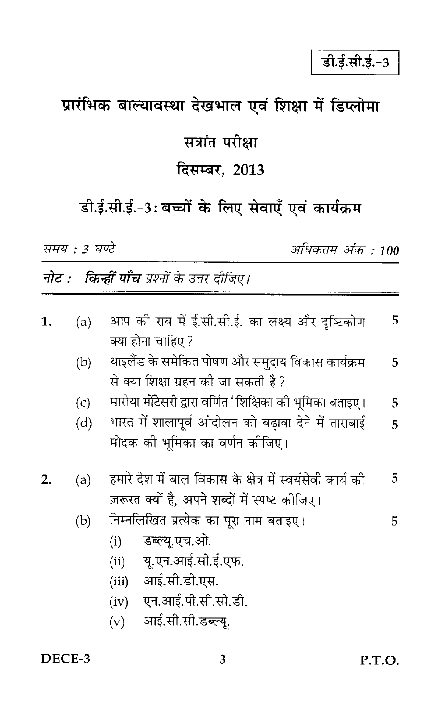# प्रारंभिक बाल्यावस्था देखभाल एवं शिक्षा में डिप्लोमा

# सत्रांत परीक्षा

# दिसम्बर, 2013

डी.ई.सी.ई.-3: बच्चों के लिए सेवाएँ एवं कार्यक्रम

समय : 3 घण्टे

अधिकतम अंक : 100

**नोट : किन्हीं पाँच** प्रश्नों के उत्तर दीजिए।

| 1. | (a) | आप को राय में ई.सी.सी.ई. का लक्ष्य और दृष्टिकोण           | 5 |
|----|-----|-----------------------------------------------------------|---|
|    |     | क्या होना चाहिए ?                                         |   |
|    | (b) | थाइलैंड के समेकित पोषण और समुदाय विकास कार्यक्रम          | 5 |
|    |     | से क्या शिक्षा ग्रहन की जा सकती है?                       |   |
|    | (c) | मारीया मोटेसरी द्वारा वर्णित 'शिक्षिका को भूमिका बताइए।   | 5 |
|    | (d) | भारत में शालापूर्व आंदोलन को बढ़ावा देने में ताराबाई      | 5 |
|    |     | मोदक को भूमिका का वर्णन कोजिए।                            |   |
| 2. | (a) | हमारे देश में बाल विकास के क्षेत्र में स्वयंसेवी कार्य की | 5 |
|    |     | ज़रूरत क्यों है, अपने शब्दों में स्पष्ट कोजिए।            |   |
|    | (b) | निम्नलिखित प्रत्येक का पूरा नाम बताइए।                    | 5 |
|    |     | डब्ल्यू.एच.ओ.<br>(i)                                      |   |
|    |     | यू.एन.आई.सी.ई.एफ.<br>(ii)                                 |   |
|    |     | आई.सी.डी.एस.<br>(iii)                                     |   |
|    |     | (iv) एन.आई.पी.सी.सी.डी.                                   |   |
|    |     | आई.सी.सी.डब्ल्यू.<br>(v)                                  |   |
|    |     |                                                           |   |

3

#### DECE-3

P.T.O.